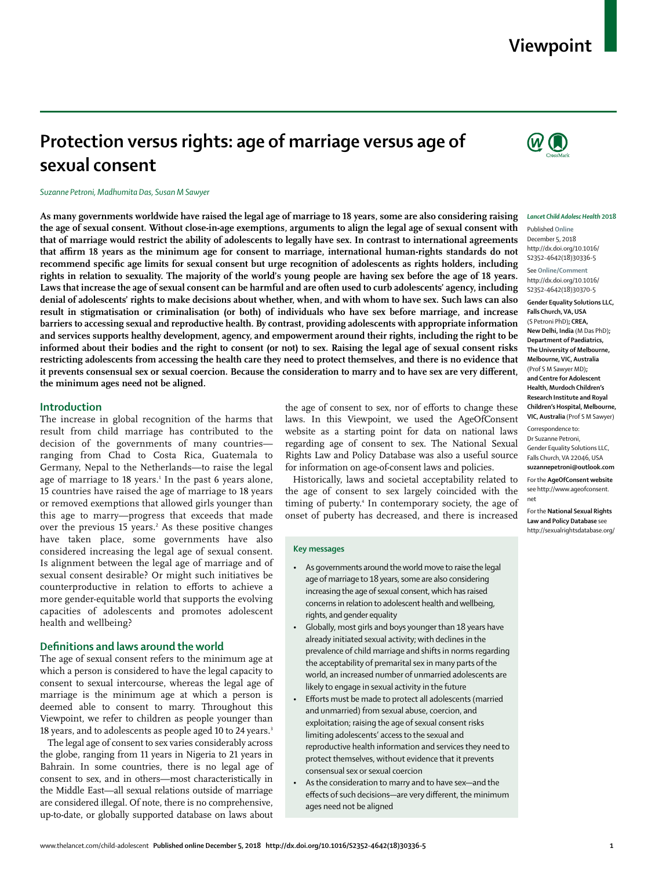# **Viewpoint**

# **Protection versus rights: age of marriage versus age of sexual consent**

#### *Suzanne Petroni, Madhumita Das, Susan M Sawyer*

**As many governments worldwide have raised the legal age of marriage to 18 years, some are also considering raising the age of sexual consent. Without close-in-age exemptions, arguments to align the legal age of sexual consent with that of marriage would restrict the ability of adolescents to legally have sex. In contrast to international agreements that affirm 18 years as the minimum age for consent to marriage, international human-rights standards do not recommend specific age limits for sexual consent but urge recognition of adolescents as rights holders, including rights in relation to sexuality. The majority of the world's young people are having sex before the age of 18 years. Laws that increase the age of sexual consent can be harmful and are often used to curb adolescents' agency, including denial of adolescents' rights to make decisions about whether, when, and with whom to have sex. Such laws can also result in stigmatisation or criminalisation (or both) of individuals who have sex before marriage, and increase barriers to accessing sexual and reproductive health. By contrast, providing adolescents with appropriate information and services supports healthy development, agency, and empowerment around their rights, including the right to be informed about their bodies and the right to consent (or not) to sex. Raising the legal age of sexual consent risks restricting adolescents from accessing the health care they need to protect themselves, and there is no evidence that it prevents consensual sex or sexual coercion. Because the consideration to marry and to have sex are very different, the minimum ages need not be aligned.**

#### **Introduction**

The increase in global recognition of the harms that result from child marriage has contributed to the decision of the governments of many countries ranging from Chad to Costa Rica, Guatemala to Germany, Nepal to the Netherlands—to raise the legal age of marriage to 18 years.<sup>1</sup> In the past 6 years alone, 15 countries have raised the age of marriage to 18 years or removed exemptions that allowed girls younger than this age to marry—progress that exceeds that made over the previous 15 years.<sup>2</sup> As these positive changes have taken place, some governments have also considered increasing the legal age of sexual consent. Is alignment between the legal age of marriage and of sexual consent desirable? Or might such initiatives be counterproductive in relation to efforts to achieve a more gender-equitable world that supports the evolving capacities of adolescents and promotes adolescent health and wellbeing?

#### **Definitions and laws around the world**

The age of sexual consent refers to the minimum age at which a person is considered to have the legal capacity to consent to sexual intercourse, whereas the legal age of marriage is the minimum age at which a person is deemed able to consent to marry. Throughout this Viewpoint, we refer to children as people younger than 18 years, and to adolescents as people aged 10 to 24 years.<sup>3</sup>

The legal age of consent to sex varies considerably across the globe, ranging from 11 years in Nigeria to 21 years in Bahrain. In some countries, there is no legal age of consent to sex, and in others—most characteristically in the Middle East—all sexual relations outside of marriage are considered illegal. Of note, there is no comprehensive, up-to-date, or globally supported database on laws about the age of consent to sex, nor of efforts to change these laws. In this Viewpoint, we used the [AgeOfConsent](http://www.ageofconsent.net) [website](http://www.ageofconsent.net) as a starting point for data on national laws regarding age of consent to sex. The [National Sexual](http://sexualrightsdatabase.org/) [Rights Law and Policy Database](http://sexualrightsdatabase.org/) was also a useful source for information on age-of-consent laws and policies.

Historically, laws and societal acceptability related to the age of consent to sex largely coincided with the timing of puberty.<sup>4</sup> In contemporary society, the age of onset of puberty has decreased, and there is increased

#### **Key messages**

- As governments around the world move to raise the legal age of marriage to 18 years, some are also considering increasing the age of sexual consent, which has raised concerns in relation to adolescent health and wellbeing, rights, and gender equality
- Globally, most girls and boys younger than 18 years have already initiated sexual activity; with declines in the prevalence of child marriage and shifts in norms regarding the acceptability of premarital sex in many parts of the world, an increased number of unmarried adolescents are likely to engage in sexual activity in the future
- Efforts must be made to protect all adolescents (married and unmarried) from sexual abuse, coercion, and exploitation; raising the age of sexual consent risks limiting adolescents' access to the sexual and reproductive health information and services they need to protect themselves, without evidence that it prevents consensual sex or sexual coercion
- As the consideration to marry and to have sex—and the effects of such decisions—are very different, the minimum ages need not be aligned



#### *Lancet Child Adolesc Health* **2018**

Published **Online** December 5, 2018 http://dx.doi.org/10.1016/ S2352-4642(18)30336-5 See **Online/Comment** http://dx.doi.org/10.1016/ S2352-4642(18)30370-5

**Gender Equality Solutions LLC, Falls Church, VA, USA**  (S Petroni PhD)**; CREA, New Delhi, India** (M Das PhD)**; Department of Paediatrics, The University of Melbourne, Melbourne, VIC, Australia**  (Prof S M Sawyer MD)**; and Centre for Adolescent Health, Murdoch Children's Research Institute and Royal Children's Hospital, Melbourne, VIC, Australia** (Prof S M Sawyer)

Correspondence to: Dr Suzanne Petroni, Gender Equality Solutions LLC, Falls Church, VA 22046, USA **suzannepetroni@outlook.com**

For the **AgeOfConsent website** see http://www.ageofconsent. net

For the **National Sexual Rights Law and Policy Database** see http://sexualrightsdatabase.org/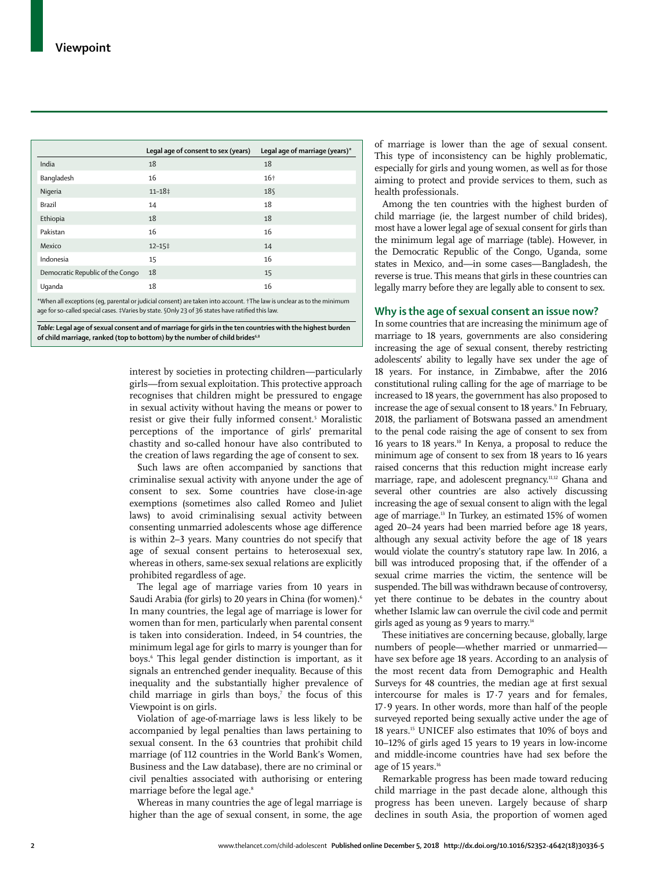|                                                                                                                                                                                                                           | Legal age of consent to sex (years) | Legal age of marriage (years) $*$ |
|---------------------------------------------------------------------------------------------------------------------------------------------------------------------------------------------------------------------------|-------------------------------------|-----------------------------------|
| India                                                                                                                                                                                                                     | 18                                  | 18                                |
| Bangladesh                                                                                                                                                                                                                | 16                                  | $16+$                             |
| Nigeria                                                                                                                                                                                                                   | $11 - 18$ ‡                         | 18 <sup>°</sup>                   |
| Brazil                                                                                                                                                                                                                    | 14                                  | 18                                |
| Ethiopia                                                                                                                                                                                                                  | 18                                  | 18                                |
| Pakistan                                                                                                                                                                                                                  | 16                                  | 16                                |
| Mexico                                                                                                                                                                                                                    | $12 - 15$ ‡                         | 14                                |
| Indonesia                                                                                                                                                                                                                 | 15                                  | 16                                |
| Democratic Republic of the Congo                                                                                                                                                                                          | 18                                  | 15                                |
| Uganda                                                                                                                                                                                                                    | 18                                  | 16                                |
| *When all exceptions (eq, parental or judicial consent) are taken into account. †The law is unclear as to the minimum<br>age for so-called special cases. #Varies by state. SOnly 23 of 36 states have ratified this law. |                                     |                                   |

*Table:* **Legal age of sexual consent and of marriage for girls in the ten countries with the highest burden**  of child marriage, ranked (top to bottom) by the number of child brides<sup>6,8</sup>

> interest by societies in protecting children—particularly girls—from sexual exploitation. This protective approach recognises that children might be pressured to engage in sexual activity without having the means or power to resist or give their fully informed consent.5 Moralistic perceptions of the importance of girls' premarital chastity and so-called honour have also contributed to the creation of laws regarding the age of consent to sex.

> Such laws are often accompanied by sanctions that criminalise sexual activity with anyone under the age of consent to sex. Some countries have close-in-age exemptions (sometimes also called Romeo and Juliet laws) to avoid criminalising sexual activity between consenting unmarried adolescents whose age difference is within 2–3 years. Many countries do not specify that age of sexual consent pertains to heterosexual sex, whereas in others, same-sex sexual relations are explicitly prohibited regardless of age.

> The legal age of marriage varies from 10 years in Saudi Arabia (for girls) to 20 years in China (for women).<sup>6</sup> In many countries, the legal age of marriage is lower for women than for men, particularly when parental consent is taken into consideration. Indeed, in 54 countries, the minimum legal age for girls to marry is younger than for boys.6 This legal gender distinction is important, as it signals an entrenched gender inequality. Because of this inequality and the substantially higher prevalence of child marriage in girls than boys,<sup> $7$ </sup> the focus of this Viewpoint is on girls.

> Violation of age-of-marriage laws is less likely to be accompanied by legal penalties than laws pertaining to sexual consent. In the 63 countries that prohibit child marriage (of 112 countries in the World Bank's Women, Business and the Law database), there are no criminal or civil penalties associated with authorising or entering marriage before the legal age.<sup>8</sup>

> Whereas in many countries the age of legal marriage is higher than the age of sexual consent, in some, the age

of marriage is lower than the age of sexual consent. This type of inconsistency can be highly problematic, especially for girls and young women, as well as for those aiming to protect and provide services to them, such as health professionals.

Among the ten countries with the highest burden of child marriage (ie, the largest number of child brides), most have a lower legal age of sexual consent for girls than the minimum legal age of marriage (table). However, in the Democratic Republic of the Congo, Uganda, some states in Mexico, and—in some cases—Bangladesh, the reverse is true. This means that girls in these countries can legally marry before they are legally able to consent to sex.

# **Why is the age of sexual consent an issue now?**

In some countries that are increasing the minimum age of marriage to 18 years, governments are also considering increasing the age of sexual consent, thereby restricting adolescents' ability to legally have sex under the age of 18 years. For instance, in Zimbabwe, after the 2016 constitutional ruling calling for the age of marriage to be increased to 18 years, the government has also proposed to increase the age of sexual consent to 18 years.<sup>9</sup> In February, 2018, the parliament of Botswana passed an amendment to the penal code raising the age of consent to sex from 16 years to 18 years.10 In Kenya, a proposal to reduce the minimum age of consent to sex from 18 years to 16 years raised concerns that this reduction might increase early marriage, rape, and adolescent pregnancy.<sup>11,12</sup> Ghana and several other countries are also actively discussing increasing the age of sexual consent to align with the legal age of marriage.<sup>13</sup> In Turkey, an estimated 15% of women aged 20–24 years had been married before age 18 years, although any sexual activity before the age of 18 years would violate the country's statutory rape law. In 2016, a bill was introduced proposing that, if the offender of a sexual crime marries the victim, the sentence will be suspended. The bill was withdrawn because of controversy, yet there continue to be debates in the country about whether Islamic law can overrule the civil code and permit girls aged as young as 9 years to marry.14

These initiatives are concerning because, globally, large numbers of people—whether married or unmarried have sex before age 18 years. According to an analysis of the most recent data from Demographic and Health Surveys for 48 countries, the median age at first sexual intercourse for males is 17·7 years and for females, 17·9 years. In other words, more than half of the people surveyed reported being sexually active under the age of 18 years.15 UNICEF also estimates that 10% of boys and 10–12% of girls aged 15 years to 19 years in low-income and middle-income countries have had sex before the age of 15 years.<sup>16</sup>

Remarkable progress has been made toward reducing child marriage in the past decade alone, although this progress has been uneven. Largely because of sharp declines in south Asia, the proportion of women aged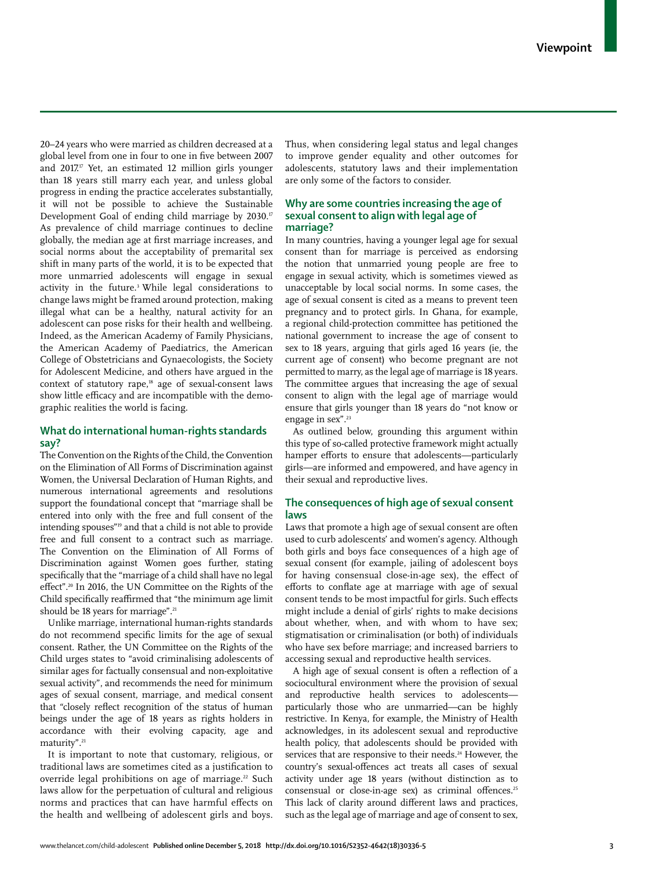20–24 years who were married as children decreased at a global level from one in four to one in five between 2007 and  $2017$ <sup>17</sup> Yet, an estimated 12 million girls younger than 18 years still marry each year, and unless global progress in ending the practice accelerates substantially, it will not be possible to achieve the Sustainable Development Goal of ending child marriage by 2030.<sup>17</sup> As prevalence of child marriage continues to decline globally, the median age at first marriage increases, and social norms about the acceptability of premarital sex shift in many parts of the world, it is to be expected that more unmarried adolescents will engage in sexual activity in the future.<sup>3</sup> While legal considerations to change laws might be framed around protection, making illegal what can be a healthy, natural activity for an adolescent can pose risks for their health and wellbeing. Indeed, as the American Academy of Family Physicians, the American Academy of Paediatrics, the American College of Obstetricians and Gynaecologists, the Society for Adolescent Medicine, and others have argued in the context of statutory rape,18 age of sexual-consent laws show little efficacy and are incompatible with the demographic realities the world is facing.

# **What do international human-rights standards say?**

The Convention on the Rights of the Child, the Convention on the Elimination of All Forms of Discrimination against Women, the Universal Declaration of Human Rights, and numerous international agreements and resolutions support the foundational concept that "marriage shall be entered into only with the free and full consent of the intending spouses"19 and that a child is not able to provide free and full consent to a contract such as marriage. The Convention on the Elimination of All Forms of Discrimination against Women goes further, stating specifically that the "marriage of a child shall have no legal effect".<sup>20</sup> In 2016, the UN Committee on the Rights of the Child specifically reaffirmed that "the minimum age limit should be 18 years for marriage".<sup>21</sup>

Unlike marriage, international human-rights standards do not recommend specific limits for the age of sexual consent. Rather, the UN Committee on the Rights of the Child urges states to "avoid criminalising adolescents of similar ages for factually consensual and non-exploitative sexual activity", and recommends the need for minimum ages of sexual consent, marriage, and medical consent that "closely reflect recognition of the status of human beings under the age of 18 years as rights holders in accordance with their evolving capacity, age and maturity".21

It is important to note that customary, religious, or traditional laws are sometimes cited as a justification to override legal prohibitions on age of marriage.<sup>22</sup> Such laws allow for the perpetuation of cultural and religious norms and practices that can have harmful effects on the health and wellbeing of adolescent girls and boys.

Thus, when considering legal status and legal changes to improve gender equality and other outcomes for adolescents, statutory laws and their implementation are only some of the factors to consider.

## **Why are some countries increasing the age of sexual consent to align with legal age of marriage?**

In many countries, having a younger legal age for sexual consent than for marriage is perceived as endorsing the notion that unmarried young people are free to engage in sexual activity, which is sometimes viewed as unacceptable by local social norms. In some cases, the age of sexual consent is cited as a means to prevent teen pregnancy and to protect girls. In Ghana, for example, a regional child-protection committee has petitioned the national government to increase the age of consent to sex to 18 years, arguing that girls aged 16 years (ie, the current age of consent) who become pregnant are not permitted to marry, as the legal age of marriage is 18 years. The committee argues that increasing the age of sexual consent to align with the legal age of marriage would ensure that girls younger than 18 years do "not know or engage in sex".23

As outlined below, grounding this argument within this type of so-called protective framework might actually hamper efforts to ensure that adolescents—particularly girls—are informed and empowered, and have agency in their sexual and reproductive lives.

# **The consequences of high age of sexual consent laws**

Laws that promote a high age of sexual consent are often used to curb adolescents' and women's agency. Although both girls and boys face consequences of a high age of sexual consent (for example, jailing of adolescent boys for having consensual close-in-age sex), the effect of efforts to conflate age at marriage with age of sexual consent tends to be most impactful for girls. Such effects might include a denial of girls' rights to make decisions about whether, when, and with whom to have sex; stigmatisation or criminalisation (or both) of individuals who have sex before marriage; and increased barriers to accessing sexual and reproductive health services.

A high age of sexual consent is often a reflection of a sociocultural environment where the provision of sexual and reproductive health services to adolescents particularly those who are unmarried—can be highly restrictive. In Kenya, for example, the Ministry of Health acknowledges, in its adolescent sexual and reproductive health policy, that adolescents should be provided with services that are responsive to their needs.<sup>24</sup> However, the country's sexual-offences act treats all cases of sexual activity under age 18 years (without distinction as to consensual or close-in-age sex) as criminal offences.<sup>25</sup> This lack of clarity around different laws and practices, such as the legal age of marriage and age of consent to sex,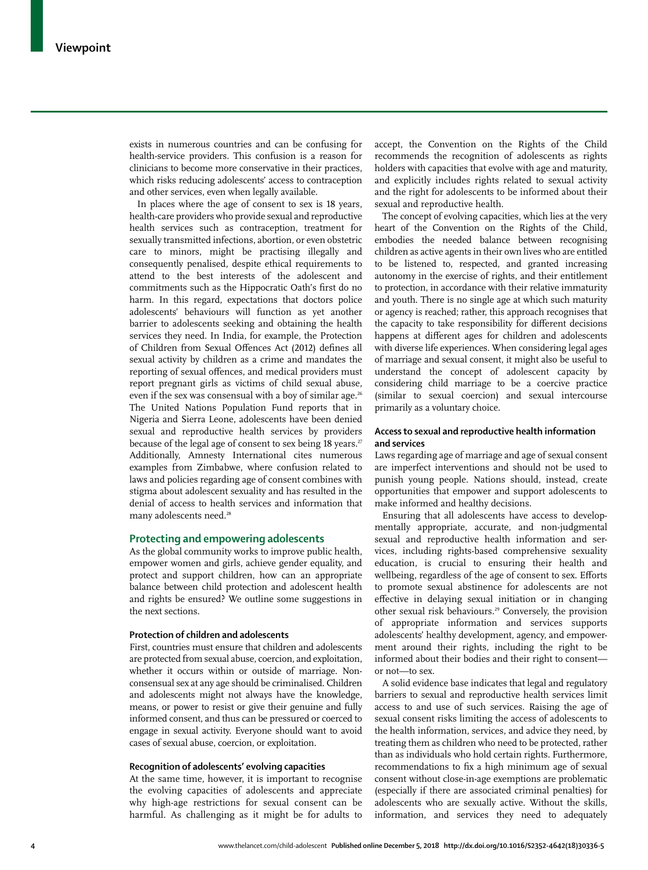exists in numerous countries and can be confusing for health-service providers. This confusion is a reason for clinicians to become more conservative in their practices, which risks reducing adolescents' access to contraception and other services, even when legally available.

In places where the age of consent to sex is 18 years, health-care providers who provide sexual and reproductive health services such as contraception, treatment for sexually transmitted infections, abortion, or even obstetric care to minors, might be practising illegally and consequently penalised, despite ethical requirements to attend to the best interests of the adolescent and commitments such as the Hippocratic Oath's first do no harm. In this regard, expectations that doctors police adolescents' behaviours will function as yet another barrier to adolescents seeking and obtaining the health services they need. In India, for example, the Protection of Children from Sexual Offences Act (2012) defines all sexual activity by children as a crime and mandates the reporting of sexual offences, and medical providers must report pregnant girls as victims of child sexual abuse, even if the sex was consensual with a boy of similar age.<sup>26</sup> The United Nations Population Fund reports that in Nigeria and Sierra Leone, adolescents have been denied sexual and reproductive health services by providers because of the legal age of consent to sex being 18 years.<sup>27</sup> Additionally, Amnesty International cites numerous examples from Zimbabwe, where confusion related to laws and policies regarding age of consent combines with stigma about adolescent sexuality and has resulted in the denial of access to health services and information that many adolescents need.<sup>28</sup>

## **Protecting and empowering adolescents**

As the global community works to improve public health, empower women and girls, achieve gender equality, and protect and support children, how can an appropriate balance between child protection and adolescent health and rights be ensured? We outline some suggestions in the next sections.

### **Protection of children and adolescents**

First, countries must ensure that children and adolescents are protected from sexual abuse, coercion, and exploitation, whether it occurs within or outside of marriage. Nonconsensual sex at any age should be criminalised. Children and adolescents might not always have the knowledge, means, or power to resist or give their genuine and fully informed consent, and thus can be pressured or coerced to engage in sexual activity. Everyone should want to avoid cases of sexual abuse, coercion, or exploitation.

## **Recognition of adolescents' evolving capacities**

At the same time, however, it is important to recognise the evolving capacities of adolescents and appreciate why high-age restrictions for sexual consent can be harmful. As challenging as it might be for adults to accept, the Convention on the Rights of the Child recommends the recognition of adolescents as rights holders with capacities that evolve with age and maturity, and explicitly includes rights related to sexual activity and the right for adolescents to be informed about their sexual and reproductive health.

The concept of evolving capacities, which lies at the very heart of the Convention on the Rights of the Child, embodies the needed balance between recognising children as active agents in their own lives who are entitled to be listened to, respected, and granted increasing autonomy in the exercise of rights, and their entitlement to protection, in accordance with their relative immaturity and youth. There is no single age at which such maturity or agency is reached; rather, this approach recognises that the capacity to take responsibility for different decisions happens at different ages for children and adolescents with diverse life experiences. When considering legal ages of marriage and sexual consent, it might also be useful to understand the concept of adolescent capacity by considering child marriage to be a coercive practice (similar to sexual coercion) and sexual intercourse primarily as a voluntary choice.

#### **Access to sexual and reproductive health information and services**

Laws regarding age of marriage and age of sexual consent are imperfect interventions and should not be used to punish young people. Nations should, instead, create opportunities that empower and support adolescents to make informed and healthy decisions.

Ensuring that all adolescents have access to developmentally appropriate, accurate, and non-judgmental sexual and reproductive health information and services, including rights-based comprehensive sexuality education, is crucial to ensuring their health and wellbeing, regardless of the age of consent to sex. Efforts to promote sexual abstinence for adolescents are not effective in delaying sexual initiation or in changing other sexual risk behaviours.29 Conversely, the provision of appropriate information and services supports adolescents' healthy development, agency, and empowerment around their rights, including the right to be informed about their bodies and their right to consent or not—to sex.

A solid evidence base indicates that legal and regulatory barriers to sexual and reproductive health services limit access to and use of such services. Raising the age of sexual consent risks limiting the access of adolescents to the health information, services, and advice they need, by treating them as children who need to be protected, rather than as individuals who hold certain rights. Furthermore, recommendations to fix a high minimum age of sexual consent without close-in-age exemptions are problematic (especially if there are associated criminal penalties) for adolescents who are sexually active. Without the skills, information, and services they need to adequately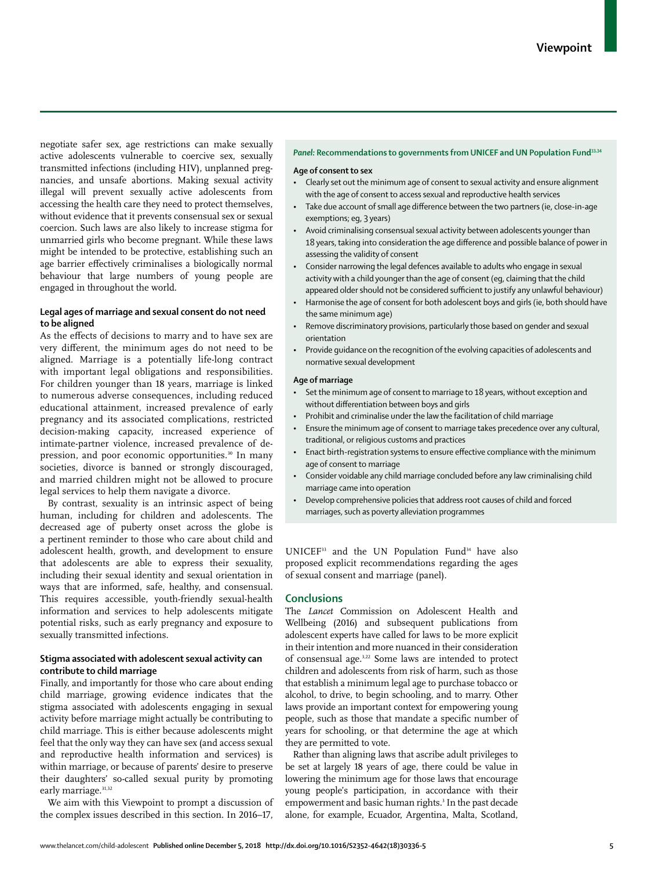negotiate safer sex, age restrictions can make sexually active adolescents vulnerable to coercive sex, sexually transmitted infections (including HIV), unplanned pregnancies, and unsafe abortions. Making sexual activity illegal will prevent sexually active adolescents from accessing the health care they need to protect themselves, without evidence that it prevents consensual sex or sexual coercion. Such laws are also likely to increase stigma for unmarried girls who become pregnant. While these laws might be intended to be protective, establishing such an age barrier effectively criminalises a biologically normal behaviour that large numbers of young people are engaged in throughout the world.

# **Legal ages of marriage and sexual consent do not need to be aligned**

As the effects of decisions to marry and to have sex are very different, the minimum ages do not need to be aligned. Marriage is a potentially life-long contract with important legal obligations and responsibilities. For children younger than 18 years, marriage is linked to numerous adverse consequences, including reduced educational attainment, increased prevalence of early pregnancy and its associated complications, restricted decision-making capacity, increased experience of intimate-partner violence, increased prevalence of depression, and poor economic opportunities.<sup>30</sup> In many societies, divorce is banned or strongly discouraged, and married children might not be allowed to procure legal services to help them navigate a divorce.

By contrast, sexuality is an intrinsic aspect of being human, including for children and adolescents. The decreased age of puberty onset across the globe is a pertinent reminder to those who care about child and adolescent health, growth, and development to ensure that adolescents are able to express their sexuality, including their sexual identity and sexual orientation in ways that are informed, safe, healthy, and consensual. This requires accessible, youth-friendly sexual-health information and services to help adolescents mitigate potential risks, such as early pregnancy and exposure to sexually transmitted infections.

# **Stigma associated with adolescent sexual activity can contribute to child marriage**

Finally, and importantly for those who care about ending child marriage, growing evidence indicates that the stigma associated with adolescents engaging in sexual activity before marriage might actually be contributing to child marriage. This is either because adolescents might feel that the only way they can have sex (and access sexual and reproductive health information and services) is within marriage, or because of parents' desire to preserve their daughters' so-called sexual purity by promoting early marriage.<sup>31,32</sup>

We aim with this Viewpoint to prompt a discussion of the complex issues described in this section. In 2016–17,

# *Panel:* **Recommendations to governments from UNICEF and UN Population Fund33,34**

## **Age of consent to sex**

- Clearly set out the minimum age of consent to sexual activity and ensure alignment with the age of consent to access sexual and reproductive health services
- Take due account of small age difference between the two partners (ie, close-in-age exemptions; eg, 3 years)
- Avoid criminalising consensual sexual activity between adolescents younger than 18 years, taking into consideration the age difference and possible balance of power in assessing the validity of consent
- Consider narrowing the legal defences available to adults who engage in sexual activity with a child younger than the age of consent (eg, claiming that the child appeared older should not be considered sufficient to justify any unlawful behaviour)
- Harmonise the age of consent for both adolescent boys and girls (ie, both should have the same minimum age)
- Remove discriminatory provisions, particularly those based on gender and sexual orientation
- Provide guidance on the recognition of the evolving capacities of adolescents and normative sexual development

### **Age of marriage**

- Set the minimum age of consent to marriage to 18 years, without exception and without differentiation between boys and girls
- Prohibit and criminalise under the law the facilitation of child marriage
- Ensure the minimum age of consent to marriage takes precedence over any cultural, traditional, or religious customs and practices
- Enact birth-registration systems to ensure effective compliance with the minimum age of consent to marriage
- Consider voidable any child marriage concluded before any law criminalising child marriage came into operation
- Develop comprehensive policies that address root causes of child and forced marriages, such as poverty alleviation programmes

 $UNICEF<sup>33</sup>$  and the UN Population Fund $34$  have also proposed explicit recommendations regarding the ages of sexual consent and marriage (panel).

# **Conclusions**

The *Lancet* Commission on Adolescent Health and Wellbeing (2016) and subsequent publications from adolescent experts have called for laws to be more explicit in their intention and more nuanced in their consideration of consensual age.3,22 Some laws are intended to protect children and adolescents from risk of harm, such as those that establish a minimum legal age to purchase tobacco or alcohol, to drive, to begin schooling, and to marry. Other laws provide an important context for empowering young people, such as those that mandate a specific number of years for schooling, or that determine the age at which they are permitted to vote.

Rather than aligning laws that ascribe adult privileges to be set at largely 18 years of age, there could be value in lowering the minimum age for those laws that encourage young people's participation, in accordance with their empowerment and basic human rights.<sup>3</sup> In the past decade alone, for example, Ecuador, Argentina, Malta, Scotland,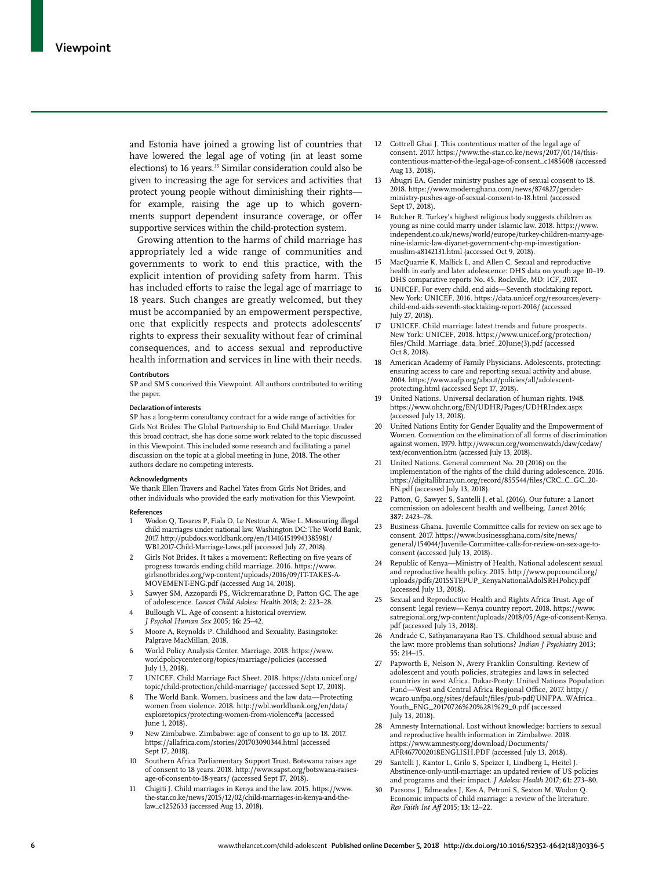and Estonia have joined a growing list of countries that have lowered the legal age of voting (in at least some elections) to 16 years.<sup>35</sup> Similar consideration could also be given to increasing the age for services and activities that protect young people without diminishing their rights for example, raising the age up to which governments support dependent insurance coverage, or offer supportive services within the child-protection system.

Growing attention to the harms of child marriage has appropriately led a wide range of communities and governments to work to end this practice, with the explicit intention of providing safety from harm. This has included efforts to raise the legal age of marriage to 18 years. Such changes are greatly welcomed, but they must be accompanied by an empowerment perspective, one that explicitly respects and protects adolescents' rights to express their sexuality without fear of criminal consequences, and to access sexual and reproductive health information and services in line with their needs.

#### **Contributors**

SP and SMS conceived this Viewpoint. All authors contributed to writing the paper.

#### **Declaration of interests**

SP has a long-term consultancy contract for a wide range of activities for Girls Not Brides: The Global Partnership to End Child Marriage. Under this broad contract, she has done some work related to the topic discussed in this Viewpoint. This included some research and facilitating a panel discussion on the topic at a global meeting in June, 2018. The other authors declare no competing interests.

#### **Acknowledgments**

We thank Ellen Travers and Rachel Yates from Girls Not Brides, and other individuals who provided the early motivation for this Viewpoint.

#### **References**

- 1 Wodon Q, Tavares P, Fiala O, Le Nestour A, Wise L. Measuring illegal child marriages under national law. Washington DC: The World Bank, 2017. http://pubdocs.worldbank.org/en/134161519943385981/ WBL2017-Child-Marriage-Laws.pdf (accessed July 27, 2018).
- 2 Girls Not Brides. It takes a movement: Reflecting on five years of progress towards ending child marriage. 2016. https://www. girlsnotbrides.org/wp-content/uploads/2016/09/IT-TAKES-A-MOVEMENT-ENG.pdf (accessed Aug 14, 2018).
- 3 Sawyer SM, Azzopardi PS, Wickremarathne D, Patton GC. The age of adolescence. *Lancet Child Adolesc Health* 2018; **2:** 223–28.
- Bullough VL. Age of consent: a historical overview. *J Psychol Human Sex* 2005; **16:** 25–42.
- 5 Moore A, Reynolds P. Childhood and Sexuality. Basingstoke: Palgrave MacMillan, 2018.
- 6 World Policy Analysis Center. Marriage. 2018. https://www. worldpolicycenter.org/topics/marriage/policies (accessed July 13, 2018).
- 7 UNICEF. Child Marriage Fact Sheet. 2018. https://data.unicef.org/ topic/child-protection/child-marriage/ (accessed Sept 17, 2018).
- 8 The World Bank. Women, business and the law data—Protecting women from violence. 2018. http://wbl.worldbank.org/en/data/ exploretopics/protecting-women-from-violence#a (accessed June 1, 2018).
- 9 New Zimbabwe. Zimbabwe: age of consent to go up to 18. 2017. https://allafrica.com/stories/201703090344.html (accessed Sept 17, 2018).
- 10 Southern Africa Parliamentary Support Trust. Botswana raises age of consent to 18 years. 2018. http://www.sapst.org/botswana-raisesage-of-consent-to-18-years/ (accessed Sept 17, 2018).
- 11 Chigiti J. Child marriages in Kenya and the law. 2015. https://www. the-star.co.ke/news/2015/12/02/child-marriages-in-kenya-and-thelaw\_c1252633 (accessed Aug 13, 2018).
- 12 Cottrell Ghai J. This contentious matter of the legal age of consent. 2017. https://www.the-star.co.ke/news/2017/01/14/thiscontentious-matter-of-the-legal-age-of-consent\_c1485608 (accessed Aug 13, 2018).
- 13 Abugri EA. Gender ministry pushes age of sexual consent to 18. 2018. https://www.modernghana.com/news/874827/genderministry-pushes-age-of-sexual-consent-to-18.html (accessed Sept 17, 2018).
- 14 Butcher R. Turkey's highest religious body suggests children as young as nine could marry under Islamic law. 2018. https://www. independent.co.uk/news/world/europe/turkey-children-marry-agenine-islamic-law-diyanet-government-chp-mp-investigationmuslim-a8142131.html (accessed Oct 9, 2018).
- 15 MacQuarrie K, Mallick L, and Allen C. Sexual and reproductive health in early and later adolescence: DHS data on youth age 10–19. DHS comparative reports No. 45. Rockville, MD: ICF, 2017.
- UNICEF. For every child, end aids—Seventh stocktaking report. New York: UNICEF, 2016. https://data.unicef.org/resources/everychild-end-aids-seventh-stocktaking-report-2016/ (accessed July 27, 2018).
- 17 UNICEF. Child marriage: latest trends and future prospects. New York: UNICEF, 2018. https://www.unicef.org/protection/ files/Child\_Marriage\_data\_brief\_20June(3).pdf (accessed Oct 8, 2018).
- 18 American Academy of Family Physicians. Adolescents, protecting: ensuring access to care and reporting sexual activity and abuse. 2004. https://www.aafp.org/about/policies/all/adolescentprotecting.html (accessed Sept 17, 2018).
- 19 United Nations. Universal declaration of human rights. 1948. https://www.ohchr.org/EN/UDHR/Pages/UDHRIndex.aspx (accessed July 13, 2018).
- United Nations Entity for Gender Equality and the Empowerment of Women. Convention on the elimination of all forms of discrimination against women. 1979. http://www.un.org/womenwatch/daw/cedaw/ text/econvention.htm (accessed July 13, 2018).
- 21 United Nations. General comment No. 20 (2016) on the implementation of the rights of the child during adolescence. 2016. https://digitallibrary.un.org/record/855544/files/CRC\_C\_GC\_20- EN.pdf (accessed July 13, 2018).
- 22 Patton, G, Sawyer S, Santelli J, et al. (2016). Our future: a Lancet commission on adolescent health and wellbeing. *Lancet* 2016; **387:** 2423–78.
- 23 Business Ghana. Juvenile Committee calls for review on sex age to consent. 2017. https://www.businessghana.com/site/news/ general/154044/Juvenile-Committee-calls-for-review-on-sex-age-toconsent (accessed July 13, 2018).
- Republic of Kenya—Ministry of Health. National adolescent sexual and reproductive health policy. 2015. http://www.popcouncil.org/ uploads/pdfs/2015STEPUP\_KenyaNationalAdolSRHPolicy.pdf (accessed July 13, 2018).
- 25 Sexual and Reproductive Health and Rights Africa Trust. Age of consent: legal review—Kenya country report. 2018. https://www. satregional.org/wp-content/uploads/2018/05/Age-of-consent-Kenya. pdf (accessed July 13, 2018).
- 26 Andrade C, Sathyanarayana Rao TS. Childhood sexual abuse and the law: more problems than solutions? *Indian J Psychiatry* 2013; **55:** 214–15.
- 27 Papworth E, Nelson N, Avery Franklin Consulting. Review of adolescent and youth policies, strategies and laws in selected countries in west Africa. Dakar-Ponty: United Nations Population Fund—West and Central Africa Regional Office, 2017. http:// wcaro.unfpa.org/sites/default/files/pub-pdf/UNFPA\_WAfrica\_ Youth\_ENG\_20170726%20%281%29\_0.pdf (accessed July 13, 2018).
- 28 Amnesty International. Lost without knowledge: barriers to sexual and reproductive health information in Zimbabwe. 2018. https://www.amnesty.org/download/Documents/ AFR4677002018ENGLISH.PDF (accessed July 13, 2018).
- 29 Santelli J, Kantor L, Grilo S, Speizer I, Lindberg L, Heitel J. Abstinence-only-until-marriage: an updated review of US policies and programs and their impact. *J Adolesc Health* 2017; **61:** 273–80.
- 30 Parsons J, Edmeades J, Kes A, Petroni S, Sexton M, Wodon Q. Economic impacts of child marriage: a review of the literature. *Rev Faith Int Aff* 2015; **13:** 12–22.